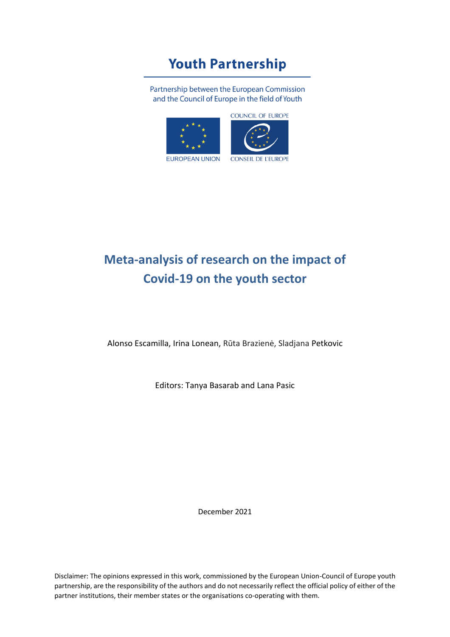# **Youth Partnership**

Partnership between the European Commission and the Council of Europe in the field of Youth



# **Meta-analysis of research on the impact of Covid-19 on the youth sector**

Alonso Escamilla, Irina Lonean, Rūta Brazienė, Sladjana Petkovic

Editors: Tanya Basarab and Lana Pasic

December 2021

Disclaimer: The opinions expressed in this work, commissioned by the European Union-Council of Europe youth partnership, are the responsibility of the authors and do not necessarily reflect the official policy of either of the partner institutions, their member states or the organisations co-operating with them.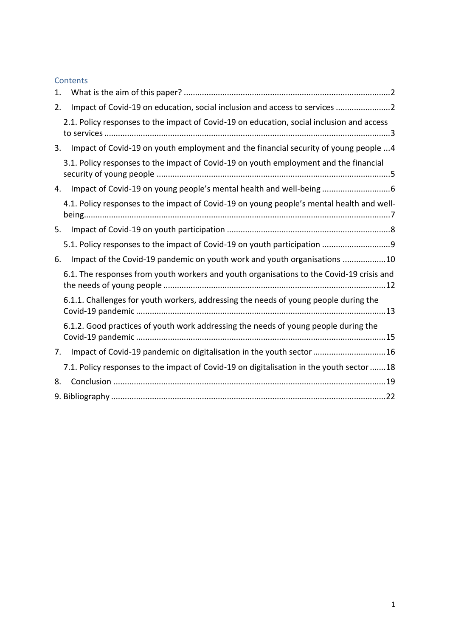#### **Contents**

| 1. |                                                                                           |
|----|-------------------------------------------------------------------------------------------|
| 2. | Impact of Covid-19 on education, social inclusion and access to services 2                |
|    | 2.1. Policy responses to the impact of Covid-19 on education, social inclusion and access |
| 3. | Impact of Covid-19 on youth employment and the financial security of young people 4       |
|    | 3.1. Policy responses to the impact of Covid-19 on youth employment and the financial     |
| 4. | Impact of Covid-19 on young people's mental health and well-being                         |
|    | 4.1. Policy responses to the impact of Covid-19 on young people's mental health and well- |
| 5. |                                                                                           |
|    | 5.1. Policy responses to the impact of Covid-19 on youth participation 9                  |
| 6. | Impact of the Covid-19 pandemic on youth work and youth organisations 10                  |
|    | 6.1. The responses from youth workers and youth organisations to the Covid-19 crisis and  |
|    | 6.1.1. Challenges for youth workers, addressing the needs of young people during the      |
|    | 6.1.2. Good practices of youth work addressing the needs of young people during the       |
| 7. | Impact of Covid-19 pandemic on digitalisation in the youth sector 16                      |
|    | 7.1. Policy responses to the impact of Covid-19 on digitalisation in the youth sector 18  |
| 8. |                                                                                           |
|    |                                                                                           |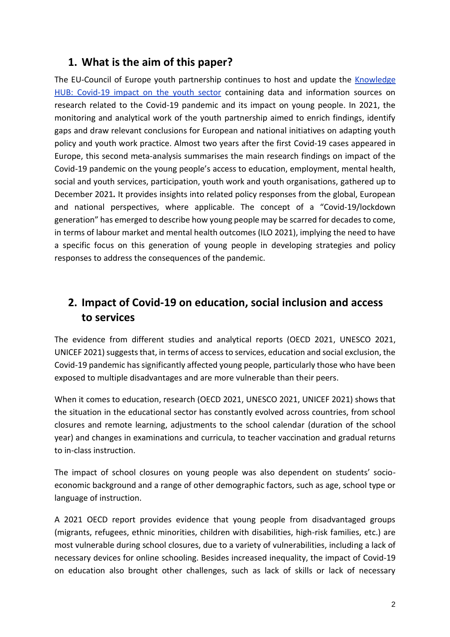### <span id="page-2-0"></span>**1. What is the aim of this paper?**

The EU-Council of Europe youth partnership continues to host and update th[e](https://pjp-eu.coe.int/en/web/youth-partnership/covid-19) [Knowledge](https://pjp-eu.coe.int/en/web/youth-partnership/covid-19)  [HUB: Covid-19 impact on the youth sector](https://pjp-eu.coe.int/en/web/youth-partnership/covid-19) containing data and information sources on research related to the Covid-19 pandemic and its impact on young people. In 2021, the monitoring and analytical work of the youth partnership aimed to enrich findings, identify gaps and draw relevant conclusions for European and national initiatives on adapting youth policy and youth work practice. Almost two years after the first Covid-19 cases appeared in Europe, this second meta-analysis summarises the main research findings on impact of the Covid-19 pandemic on the young people's access to education, employment, mental health, social and youth services, participation, youth work and youth organisations, gathered up to December 2021*.* It provides insights into related policy responses from the global, European and national perspectives, where applicable. The concept of a "Covid-19/lockdown generation" has emerged to describe how young people may be scarred for decades to come, in terms of labour market and mental health outcomes (ILO 2021), implying the need to have a specific focus on this generation of young people in developing strategies and policy responses to address the consequences of the pandemic.

### <span id="page-2-1"></span>**2. Impact of Covid-19 on education, social inclusion and access to services**

The evidence from different studies and analytical reports (OECD 2021, UNESCO 2021, UNICEF 2021) suggests that, in terms of access to services, education and social exclusion, the Covid-19 pandemic has significantly affected young people, particularly those who have been exposed to multiple disadvantages and are more vulnerable than their peers.

When it comes to education, research (OECD 2021, UNESCO 2021, UNICEF 2021) shows that the situation in the educational sector has constantly evolved across countries, from school closures and remote learning, adjustments to the school calendar (duration of the school year) and changes in examinations and curricula, to teacher vaccination and gradual returns to in-class instruction.

The impact of school closures on young people was also dependent on students' socioeconomic background and a range of other demographic factors, such as age, school type or language of instruction.

A 2021 OECD report provides evidence that young people from disadvantaged groups (migrants, refugees, ethnic minorities, children with disabilities, high-risk families, etc.) are most vulnerable during school closures, due to a variety of vulnerabilities, including a lack of necessary devices for online schooling. Besides increased inequality, the impact of Covid-19 on education also brought other challenges, such as lack of skills or lack of necessary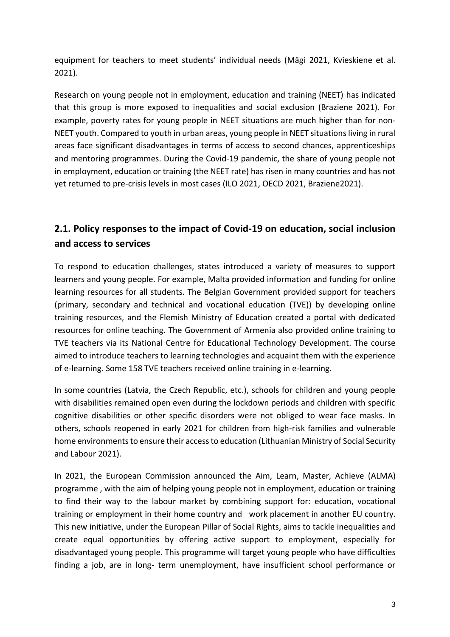equipment for teachers to meet students' individual needs (Mägi 2021, Kvieskiene et al. 2021).

Research on young people not in employment, education and training (NEET) has indicated that this group is more exposed to inequalities and social exclusion (Braziene 2021). For example, poverty rates for young people in NEET situations are much higher than for non-NEET youth. Compared to youth in urban areas, young people in NEET situations living in rural areas face significant disadvantages in terms of access to second chances, apprenticeships and mentoring programmes. During the Covid-19 pandemic, the share of young people not in employment, education or training (the NEET rate) has risen in many countries and has not yet returned to pre-crisis levels in most cases (ILO 2021, OECD 2021, Braziene2021).

### <span id="page-3-0"></span>**2.1. Policy responses to the impact of Covid-19 on education, social inclusion and access to services**

To respond to education challenges, states introduced a variety of measures to support learners and young people. For example, Malta provided information and funding for online learning resources for all students. The Belgian Government provided support for teachers (primary, secondary and technical and vocational education (TVE)) by developing online training resources, and the Flemish Ministry of Education created a portal with dedicated resources for online teaching. The Government of Armenia also provided online training to TVE teachers via its National Centre for Educational Technology Development. The course aimed to introduce teachers to learning technologies and acquaint them with the experience of e-learning. Some 158 TVE teachers received online training in e-learning.

In some countries (Latvia, the Czech Republic, etc.), schools for children and young people with disabilities remained open even during the lockdown periods and children with specific cognitive disabilities or other specific disorders were not obliged to wear face masks. In others, schools reopened in early 2021 for children from high-risk families and vulnerable home environments to ensure their access to education (Lithuanian Ministry of Social Security and Labour 2021).

In 2021, the European Commission announced the Aim, Learn, Master, Achieve (ALMA) programme , with the aim of helping young people not in employment, education or training to find their way to the labour market by combining support for: education, vocational training or employment in their home country and work placement in another EU country. This new initiative, under the European Pillar of Social Rights, aims to tackle inequalities and create equal opportunities by offering active support to employment, especially for disadvantaged young people. This programme will target young people who have difficulties finding a job, are in long- term unemployment, have insufficient school performance or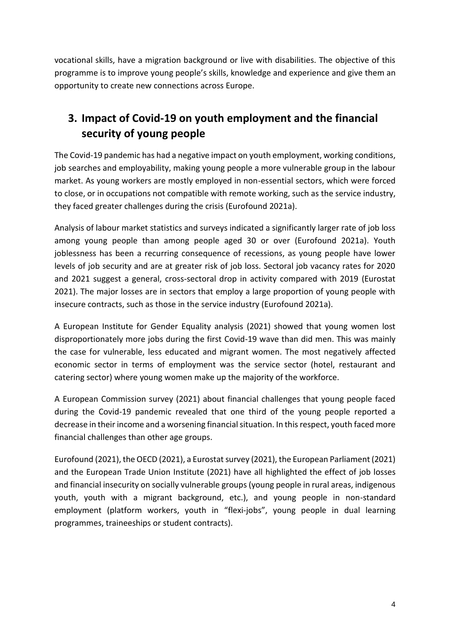vocational skills, have a migration background or live with disabilities. The objective of this programme is to improve young people's skills, knowledge and experience and give them an opportunity to create new connections across Europe.

## <span id="page-4-0"></span>**3. Impact of Covid-19 on youth employment and the financial security of young people**

The Covid-19 pandemic has had a negative impact on youth employment, working conditions, job searches and employability, making young people a more vulnerable group in the labour market. As young workers are mostly employed in non-essential sectors, which were forced to close, or in occupations not compatible with remote working, such as the service industry, they faced greater challenges during the crisis (Eurofound 2021a).

Analysis of labour market statistics and surveys indicated a significantly larger rate of job loss among young people than among people aged 30 or over (Eurofound 2021a). Youth joblessness has been a recurring consequence of recessions, as young people have lower levels of job security and are at greater risk of job loss. Sectoral job vacancy rates for 2020 and 2021 suggest a general, cross-sectoral drop in activity compared with 2019 (Eurostat 2021). The major losses are in sectors that employ a large proportion of young people with insecure contracts, such as those in the service industry (Eurofound 2021a).

A European Institute for Gender Equality analysis (2021) showed that young women lost disproportionately more jobs during the first Covid-19 wave than did men. This was mainly the case for vulnerable, less educated and migrant women. The most negatively affected economic sector in terms of employment was the service sector (hotel, restaurant and catering sector) where young women make up the majority of the workforce.

A European Commission survey (2021) about financial challenges that young people faced during the Covid-19 pandemic revealed that one third of the young people reported a decrease in their income and a worsening financial situation. In this respect, youth faced more financial challenges than other age groups.

Eurofound (2021), the OECD (2021), a Eurostat survey (2021), the European Parliament (2021) and the European Trade Union Institute (2021) have all highlighted the effect of job losses and financial insecurity on socially vulnerable groups (young people in rural areas, indigenous youth, youth with a migrant background, etc.), and young people in non-standard employment (platform workers, youth in "flexi-jobs", young people in dual learning programmes, traineeships or student contracts).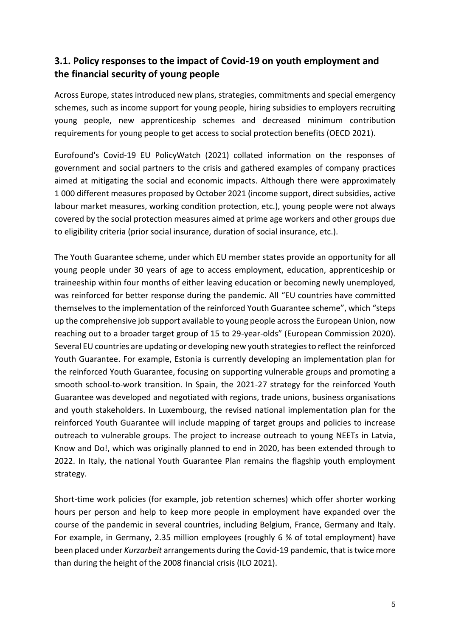### <span id="page-5-0"></span>**3.1. Policy responses to the impact of Covid-19 on youth employment and the financial security of young people**

Across Europe, states introduced new plans, strategies, commitments and special emergency schemes, such as income support for young people, hiring subsidies to employers recruiting young people, new apprenticeship schemes and decreased minimum contribution requirements for young people to get access to social protection benefits (OECD 2021).

Eurofound's Covid-19 EU PolicyWatch (2021) collated information on the responses of government and social partners to the crisis and gathered examples of company practices aimed at mitigating the social and economic impacts. Although there were approximately 1 000 different measures proposed by October 2021 (income support, direct subsidies, active labour market measures, working condition protection, etc.), young people were not always covered by the social protection measures aimed at prime age workers and other groups due to eligibility criteria (prior social insurance, duration of social insurance, etc.).

The Youth Guarantee scheme, under which EU member states provide an opportunity for all young people under 30 years of age to access employment, education, apprenticeship or traineeship within four months of either leaving education or becoming newly unemployed, was reinforced for better response during the pandemic. All "EU countries have committed themselves to the implementation of the reinforced Youth Guarantee scheme", which "steps up the comprehensive job support available to young people across the European Union, now reaching out to a broader target group of 15 to 29-year-olds" (European Commission 2020). Several EU countries are updating or developing new youth strategies to reflect the reinforced Youth Guarantee. For example, Estonia is currently developing an implementation plan for the reinforced Youth Guarantee, focusing on supporting vulnerable groups and promoting a smooth school-to-work transition. In Spain, the 2021-27 strategy for the reinforced Youth Guarantee was developed and negotiated with regions, trade unions, business organisations and youth stakeholders. In Luxembourg, the revised national implementation plan for the reinforced Youth Guarantee will include mapping of target groups and policies to increase outreach to vulnerable groups. The project to increase outreach to young NEETs in Latvia, Know and Do!, which was originally planned to end in 2020, has been extended through to 2022. In Italy, the national Youth Guarantee Plan remains the flagship youth employment strategy.

Short-time work policies (for example, job retention schemes) which offer shorter working hours per person and help to keep more people in employment have expanded over the course of the pandemic in several countries, including Belgium, France, Germany and Italy. For example, in Germany, 2.35 million employees (roughly 6 % of total employment) have been placed under *Kurzarbeit* arrangements during the Covid-19 pandemic, that is twice more than during the height of the 2008 financial crisis (ILO 2021).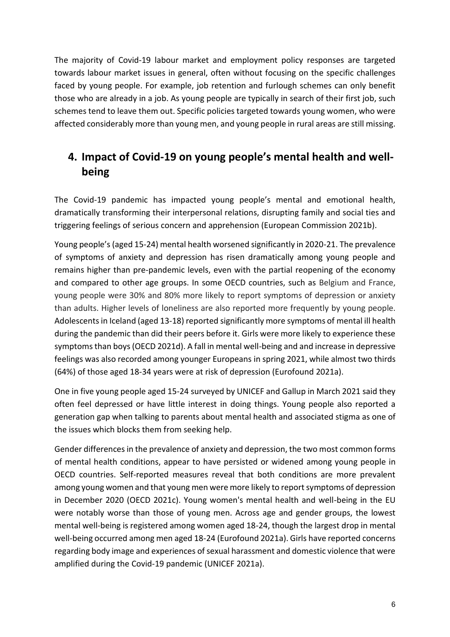The majority of Covid-19 labour market and employment policy responses are targeted towards labour market issues in general, often without focusing on the specific challenges faced by young people. For example, job retention and furlough schemes can only benefit those who are already in a job. As young people are typically in search of their first job, such schemes tend to leave them out. Specific policies targeted towards young women, who were affected considerably more than young men, and young people in rural areas are still missing.

### <span id="page-6-0"></span>**4. Impact of Covid-19 on young people's mental health and wellbeing**

The Covid-19 pandemic has impacted young people's mental and emotional health, dramatically transforming their interpersonal relations, disrupting family and social ties and triggering feelings of serious concern and apprehension (European Commission 2021b).

Young people's (aged 15-24) mental health worsened significantly in 2020-21. The prevalence of symptoms of anxiety and depression has risen dramatically among young people and remains higher than pre-pandemic levels, even with the partial reopening of the economy and compared to other age groups. In some OECD countries, such as Belgium and France, young people were 30% and 80% more likely to report symptoms of depression or anxiety than adults. Higher levels of loneliness are also reported more frequently by young people. Adolescents in Iceland (aged 13-18) reported significantly more symptoms of mental ill health during the pandemic than did their peers before it. Girls were more likely to experience these symptoms than boys (OECD 2021d). A fall in mental well-being and and increase in depressive feelings was also recorded among younger Europeans in spring 2021, while almost two thirds (64%) of those aged 18-34 years were at risk of depression (Eurofound 2021a).

One in five young people aged 15-24 surveyed by UNICEF and Gallup in March 2021 said they often feel depressed or have little interest in doing things. Young people also reported a generation gap when talking to parents about mental health and associated stigma as one of the issues which blocks them from seeking help.

Gender differences in the prevalence of anxiety and depression, the two most common forms of mental health conditions, appear to have persisted or widened among young people in OECD countries. Self-reported measures reveal that both conditions are more prevalent among young women and that young men were more likely to report symptoms of depression in December 2020 (OECD 2021c). Young women's mental health and well-being in the EU were notably worse than those of young men. Across age and gender groups, the lowest mental well-being is registered among women aged 18-24, though the largest drop in mental well-being occurred among men aged 18-24 (Eurofound 2021a). Girls have reported concerns regarding body image and experiences of sexual harassment and domestic violence that were amplified during the Covid-19 pandemic (UNICEF 2021a).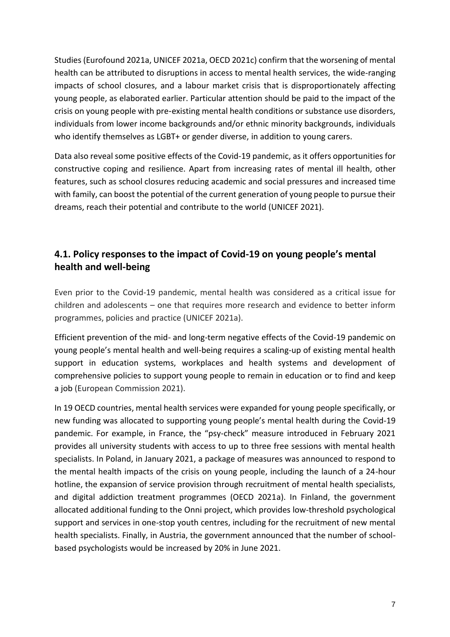Studies (Eurofound 2021a, UNICEF 2021a, OECD 2021c) confirm that the worsening of mental health can be attributed to disruptions in access to mental health services, the wide-ranging impacts of school closures, and a labour market crisis that is disproportionately affecting young people, as elaborated earlier. Particular attention should be paid to the impact of the crisis on young people with pre‑existing mental health conditions or substance use disorders, individuals from lower income backgrounds and/or ethnic minority backgrounds, individuals who identify themselves as LGBT+ or gender diverse, in addition to young carers.

Data also reveal some positive effects of the Covid-19 pandemic, as it offers opportunities for constructive coping and resilience. Apart from increasing rates of mental ill health, other features, such as school closures reducing academic and social pressures and increased time with family, can boost the potential of the current generation of young people to pursue their dreams, reach their potential and contribute to the world (UNICEF 2021).

### <span id="page-7-0"></span>**4.1. Policy responses to the impact of Covid-19 on young people's mental health and well-being**

Even prior to the Covid-19 pandemic, mental health was considered as a critical issue for children and adolescents – one that requires more research and evidence to better inform programmes, policies and practice (UNICEF 2021a).

Efficient prevention of the mid- and long-term negative effects of the Covid-19 pandemic on young people's mental health and well-being requires a scaling-up of existing mental health support in education systems, workplaces and health systems and development of comprehensive policies to support young people to remain in education or to find and keep a job (European Commission 2021).

In 19 OECD countries, mental health services were expanded for young people specifically, or new funding was allocated to supporting young people's mental health during the Covid-19 pandemic. For example, in France, the "psy-check" measure introduced in February 2021 provides all university students with access to up to three free sessions with mental health specialists. In Poland, in January 2021, a package of measures was announced to respond to the mental health impacts of the crisis on young people, including the launch of a 24-hour hotline, the expansion of service provision through recruitment of mental health specialists, and digital addiction treatment programmes (OECD 2021a). In Finland, the government allocated additional funding to the Onni project, which provides low-threshold psychological support and services in one-stop youth centres, including for the recruitment of new mental health specialists. Finally, in Austria, the government announced that the number of schoolbased psychologists would be increased by 20% in June 2021.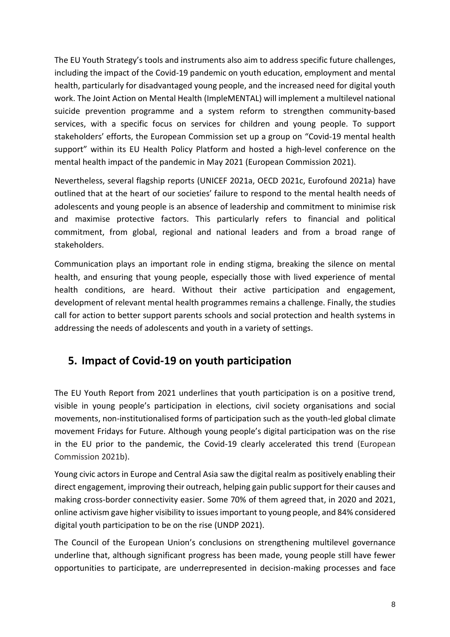The EU Youth Strategy's tools and instruments also aim to address specific future challenges, including the impact of the Covid-19 pandemic on youth education, employment and mental health, particularly for disadvantaged young people, and the increased need for digital youth work. The Joint Action on Mental Health (ImpleMENTAL) will implement a multilevel national suicide prevention programme and a system reform to strengthen community-based services, with a specific focus on services for children and young people. To support stakeholders' efforts, the European Commission set up a group on "Covid-19 mental health support" within its EU Health Policy Platform and hosted a high-level conference on the mental health impact of the pandemic in May 2021 (European Commission 2021).

Nevertheless, several flagship reports (UNICEF 2021a, OECD 2021c, Eurofound 2021a) have outlined that at the heart of our societies' failure to respond to the mental health needs of adolescents and young people is an absence of leadership and commitment to minimise risk and maximise protective factors. This particularly refers to financial and political commitment, from global, regional and national leaders and from a broad range of stakeholders.

Communication plays an important role in ending stigma, breaking the silence on mental health, and ensuring that young people, especially those with lived experience of mental health conditions, are heard. Without their active participation and engagement, development of relevant mental health programmes remains a challenge. Finally, the studies call for action to better support parents schools and social protection and health systems in addressing the needs of adolescents and youth in a variety of settings.

### <span id="page-8-0"></span>**5. Impact of Covid-19 on youth participation**

The EU Youth Report from 2021 underlines that youth participation is on a positive trend, visible in young people's participation in elections, civil society organisations and social movements, non-institutionalised forms of participation such as the youth-led global climate movement Fridays for Future. Although young people's digital participation was on the rise in the EU prior to the pandemic, the Covid-19 clearly accelerated this trend (European Commission 2021b).

Young civic actors in Europe and Central Asia saw the digital realm as positively enabling their direct engagement, improving their outreach, helping gain public support for their causes and making cross-border connectivity easier. Some 70% of them agreed that, in 2020 and 2021, online activism gave higher visibility to issues important to young people, and 84% considered digital youth participation to be on the rise (UNDP 2021).

The Council of the European Union's conclusions on strengthening multilevel governance underline that, although significant progress has been made, young people still have fewer opportunities to participate, are underrepresented in decision-making processes and face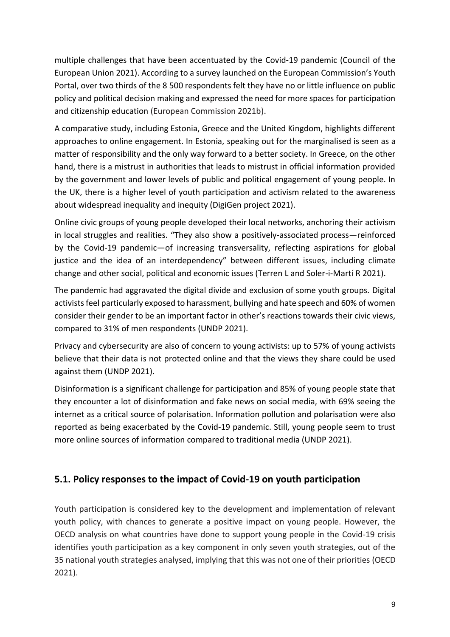multiple challenges that have been accentuated by the Covid-19 pandemic (Council of the European Union 2021). According to a survey launched on the European Commission's Youth Portal, over two thirds of the 8 500 respondents felt they have no or little influence on public policy and political decision making and expressed the need for more spaces for participation and citizenship education (European Commission 2021b).

A comparative study, including Estonia, Greece and the United Kingdom, highlights different approaches to online engagement. In Estonia, speaking out for the marginalised is seen as a matter of responsibility and the only way forward to a better society. In Greece, on the other hand, there is a mistrust in authorities that leads to mistrust in official information provided by the government and lower levels of public and political engagement of young people. In the UK, there is a higher level of youth participation and activism related to the awareness about widespread inequality and inequity (DigiGen project 2021).

Online civic groups of young people developed their local networks, anchoring their activism in local struggles and realities. "They also show a positively-associated process—reinforced by the Covid-19 pandemic—of increasing transversality, reflecting aspirations for global justice and the idea of an interdependency" between different issues, including climate change and other social, political and economic issues (Terren L and Soler-i-Martí R 2021).

The pandemic had aggravated the digital divide and exclusion of some youth groups. Digital activists feel particularly exposed to harassment, bullying and hate speech and 60% of women consider their gender to be an important factor in other's reactions towards their civic views, compared to 31% of men respondents (UNDP 2021).

Privacy and cybersecurity are also of concern to young activists: up to 57% of young activists believe that their data is not protected online and that the views they share could be used against them (UNDP 2021).

Disinformation is a significant challenge for participation and 85% of young people state that they encounter a lot of disinformation and fake news on social media, with 69% seeing the internet as a critical source of polarisation. Information pollution and polarisation were also reported as being exacerbated by the Covid-19 pandemic. Still, young people seem to trust more online sources of information compared to traditional media (UNDP 2021).

#### <span id="page-9-0"></span>**5.1. Policy responses to the impact of Covid-19 on youth participation**

Youth participation is considered key to the development and implementation of relevant youth policy, with chances to generate a positive impact on young people. However, the OECD analysis on what countries have done to support young people in the Covid-19 crisis identifies youth participation as a key component in only seven youth strategies, out of the 35 national youth strategies analysed, implying that this was not one of their priorities (OECD 2021).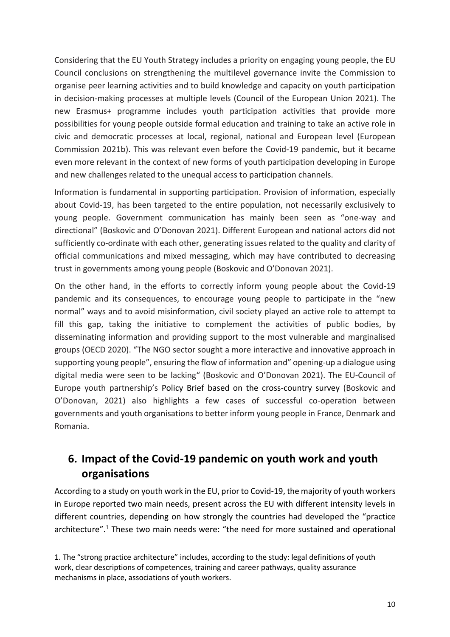Considering that the EU Youth Strategy includes a priority on engaging young people, the EU Council conclusions on strengthening the multilevel governance invite the Commission to organise peer learning activities and to build knowledge and capacity on youth participation in decision-making processes at multiple levels (Council of the European Union 2021). The new Erasmus+ programme includes youth participation activities that provide more possibilities for young people outside formal education and training to take an active role in civic and democratic processes at local, regional, national and European level (European Commission 2021b). This was relevant even before the Covid-19 pandemic, but it became even more relevant in the context of new forms of youth participation developing in Europe and new challenges related to the unequal access to participation channels.

Information is fundamental in supporting participation. Provision of information, especially about Covid-19, has been targeted to the entire population, not necessarily exclusively to young people. Government communication has mainly been seen as "one-way and directional" (Boskovic and O'Donovan 2021). Different European and national actors did not sufficiently co-ordinate with each other, generating issues related to the quality and clarity of official communications and mixed messaging, which may have contributed to decreasing trust in governments among young people (Boskovic and O'Donovan 2021).

On the other hand, in the efforts to correctly inform young people about the Covid-19 pandemic and its consequences, to encourage young people to participate in the "new normal" ways and to avoid misinformation, civil society played an active role to attempt to fill this gap, taking the initiative to complement the activities of public bodies, by disseminating information and providing support to the most vulnerable and marginalised groups (OECD 2020). "The NGO sector sought a more interactive and innovative approach in supporting young people", ensuring the flow of information and" opening-up a dialogue using digital media were seen to be lacking" (Boskovic and O'Donovan 2021). The EU-Council of Europe youth partnership's Policy Brief based on the cross-country survey (Boskovic and O'Donovan, 2021) also highlights a few cases of successful co-operation between governments and youth organisations to better inform young people in France, Denmark and Romania.

### <span id="page-10-0"></span>**6. Impact of the Covid-19 pandemic on youth work and youth organisations**

According to a study on youth work in the EU, prior to Covid-19, the majority of youth workers in Europe reported two main needs, present across the EU with different intensity levels in different countries, depending on how strongly the countries had developed the "practice architecture".<sup>1</sup> These two main needs were: "the need for more sustained and operational

<sup>1.</sup> The "strong practice architecture" includes, according to the study: legal definitions of youth work, clear descriptions of competences, training and career pathways, quality assurance mechanisms in place, associations of youth workers.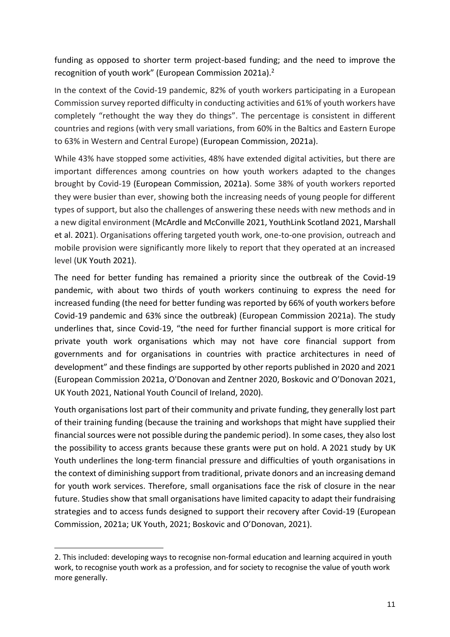funding as opposed to shorter term project-based funding; and the need to improve the recognition of youth work" (European Commission 2021a).<sup>2</sup>

In the context of the Covid-19 pandemic, 82% of youth workers participating in a European Commission survey reported difficulty in conducting activities and 61% of youth workers have completely "rethought the way they do things". The percentage is consistent in different countries and regions (with very small variations, from 60% in the Baltics and Eastern Europe to 63% in Western and Central Europe) (European Commission, 2021a).

While 43% have stopped some activities, 48% have extended digital activities, but there are important differences among countries on how youth workers adapted to the changes brought by Covid-19 (European Commission, 2021a). Some 38% of youth workers reported they were busier than ever, showing both the increasing needs of young people for different types of support, but also the challenges of answering these needs with new methods and in a new digital environment (McArdle and McConville 2021, YouthLink Scotland 2021, Marshall et al. 2021). Organisations offering targeted youth work, one-to-one provision, outreach and mobile provision were significantly more likely to report that they operated at an increased level (UK Youth 2021).

The need for better funding has remained a priority since the outbreak of the Covid-19 pandemic, with about two thirds of youth workers continuing to express the need for increased funding (the need for better funding was reported by 66% of youth workers before Covid-19 pandemic and 63% since the outbreak) (European Commission 2021a). The study underlines that, since Covid-19, "the need for further financial support is more critical for private youth work organisations which may not have core financial support from governments and for organisations in countries with practice architectures in need of development" and these findings are supported by other reports published in 2020 and 2021 (European Commission 2021a, O'Donovan and Zentner 2020, Boskovic and O'Donovan 2021, UK Youth 2021, National Youth Council of Ireland, 2020).

Youth organisations lost part of their community and private funding, they generally lost part of their training funding (because the training and workshops that might have supplied their financial sources were not possible during the pandemic period). In some cases, they also lost the possibility to access grants because these grants were put on hold. A 2021 study by UK Youth underlines the long-term financial pressure and difficulties of youth organisations in the context of diminishing support from traditional, private donors and an increasing demand for youth work services. Therefore, small organisations face the risk of closure in the near future. Studies show that small organisations have limited capacity to adapt their fundraising strategies and to access funds designed to support their recovery after Covid-19 (European Commission, 2021a; UK Youth, 2021; Boskovic and O'Donovan, 2021).

<sup>2.</sup> This included: developing ways to recognise non-formal education and learning acquired in youth work, to recognise youth work as a profession, and for society to recognise the value of youth work more generally.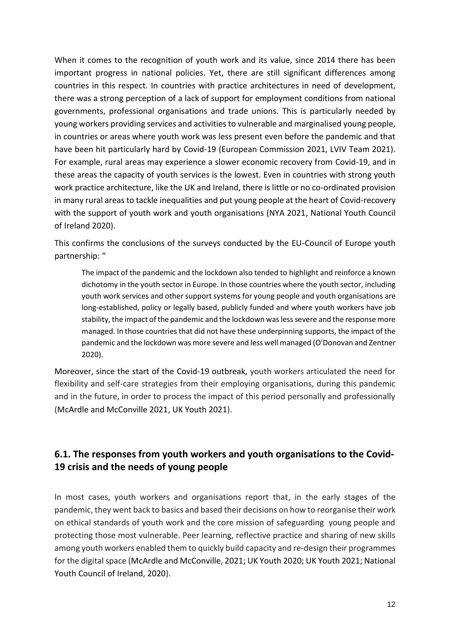When it comes to the recognition of youth work and its value, since 2014 there has been important progress in national policies. Yet, there are still significant differences among countries in this respect. In countries with practice architectures in need of development, there was a strong perception of a lack of support for employment conditions from national governments, professional organisations and trade unions. This is particularly needed by young workers providing services and activities to vulnerable and marginalised young people, in countries or areas where youth work was less present even before the pandemic and that have been hit particularly hard by Covid-19 (European Commission 2021, LVIV Team 2021). For example, rural areas may experience a slower economic recovery from Covid-19, and in these areas the capacity of youth services is the lowest. Even in countries with strong youth work practice architecture, like the UK and Ireland, there is little or no co-ordinated provision in many rural areas to tackle inequalities and put young people at the heart of Covid-recovery with the support of youth work and youth organisations (NYA 2021, National Youth Council of Ireland 2020).

This confirms the conclusions of the surveys conducted by the EU-Council of Europe youth partnership: "

The impact of the pandemic and the lockdown also tended to highlight and reinforce a known dichotomy in the youth sector in Europe. In those countries where the youth sector, including youth work services and other support systems for young people and youth organisations are long-established, policy or legally based, publicly funded and where youth workers have job stability, the impact of the pandemic and the lockdown was less severe and the response more managed. In those countries that did not have these underpinning supports, the impact of the pandemic and the lockdown was more severe and less well managed (O'Donovan and Zentner 2020).

Moreover, since the start of the Covid-19 outbreak, youth workers articulated the need for flexibility and self-care strategies from their employing organisations, during this pandemic and in the future, in order to process the impact of this period personally and professionally (McArdle and McConville 2021, UK Youth 2021).

### <span id="page-12-0"></span>**6.1. The responses from youth workers and youth organisations to the Covid-19 crisis and the needs of young people**

In most cases, youth workers and organisations report that, in the early stages of the pandemic, they went back to basics and based their decisions on how to reorganise their work on ethical standards of youth work and the core mission of safeguarding young people and protecting those most vulnerable. Peer learning, reflective practice and sharing of new skills among youth workers enabled them to quickly build capacity and re-design their programmes for the digital space (McArdle and McConville, 2021; UK Youth 2020; UK Youth 2021; National Youth Council of Ireland, 2020).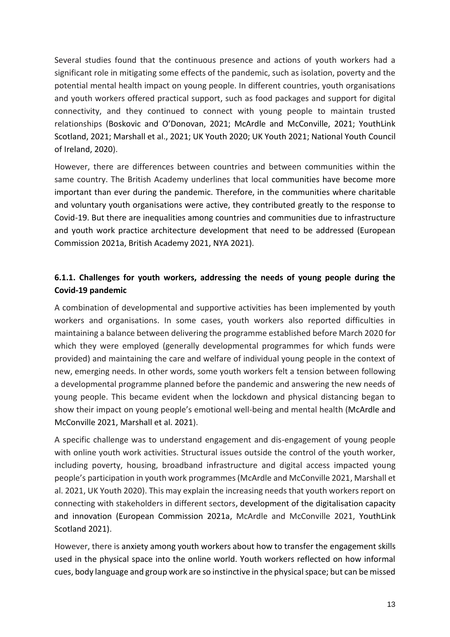Several studies found that the continuous presence and actions of youth workers had a significant role in mitigating some effects of the pandemic, such as isolation, poverty and the potential mental health impact on young people. In different countries, youth organisations and youth workers offered practical support, such as food packages and support for digital connectivity, and they continued to connect with young people to maintain trusted relationships (Boskovic and O'Donovan, 2021; McArdle and McConville, 2021; YouthLink Scotland, 2021; Marshall et al., 2021; UK Youth 2020; UK Youth 2021; National Youth Council of Ireland, 2020).

However, there are differences between countries and between communities within the same country. The British Academy underlines that local communities have become more important than ever during the pandemic. Therefore, in the communities where charitable and voluntary youth organisations were active, they contributed greatly to the response to Covid-19. But there are inequalities among countries and communities due to infrastructure and youth work practice architecture development that need to be addressed (European Commission 2021a, British Academy 2021, NYA 2021).

#### <span id="page-13-0"></span>**6.1.1. Challenges for youth workers, addressing the needs of young people during the Covid-19 pandemic**

A combination of developmental and supportive activities has been implemented by youth workers and organisations. In some cases, youth workers also reported difficulties in maintaining a balance between delivering the programme established before March 2020 for which they were employed (generally developmental programmes for which funds were provided) and maintaining the care and welfare of individual young people in the context of new, emerging needs. In other words, some youth workers felt a tension between following a developmental programme planned before the pandemic and answering the new needs of young people. This became evident when the lockdown and physical distancing began to show their impact on young people's emotional well-being and mental health (McArdle and McConville 2021, Marshall et al. 2021).

A specific challenge was to understand engagement and dis-engagement of young people with online youth work activities. Structural issues outside the control of the youth worker, including poverty, housing, broadband infrastructure and digital access impacted young people's participation in youth work programmes (McArdle and McConville 2021, Marshall et al. 2021, UK Youth 2020). This may explain the increasing needs that youth workers report on connecting with stakeholders in different sectors, development of the digitalisation capacity and innovation (European Commission 2021a, McArdle and McConville 2021, YouthLink Scotland 2021).

However, there is anxiety among youth workers about how to transfer the engagement skills used in the physical space into the online world. Youth workers reflected on how informal cues, body language and group work are so instinctive in the physical space; but can be missed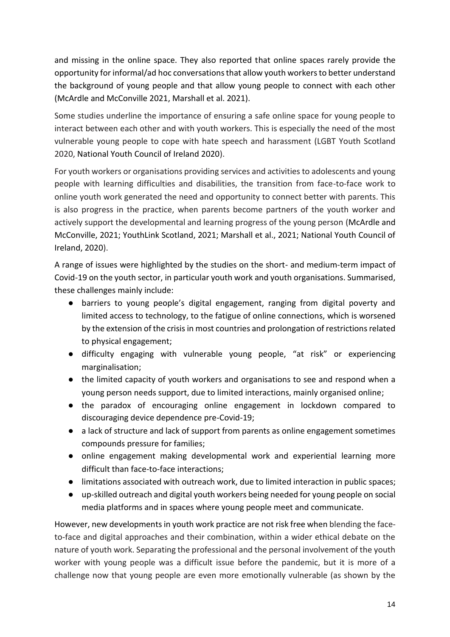and missing in the online space. They also reported that online spaces rarely provide the opportunity for informal/ad hoc conversations that allow youth workers to better understand the background of young people and that allow young people to connect with each other (McArdle and McConville 2021, Marshall et al. 2021).

Some studies underline the importance of ensuring a safe online space for young people to interact between each other and with youth workers. This is especially the need of the most vulnerable young people to cope with hate speech and harassment (LGBT Youth Scotland 2020, National Youth Council of Ireland 2020).

For youth workers or organisations providing services and activities to adolescents and young people with learning difficulties and disabilities, the transition from face-to-face work to online youth work generated the need and opportunity to connect better with parents. This is also progress in the practice, when parents become partners of the youth worker and actively support the developmental and learning progress of the young person (McArdle and McConville, 2021; YouthLink Scotland, 2021; Marshall et al., 2021; National Youth Council of Ireland, 2020).

A range of issues were highlighted by the studies on the short- and medium-term impact of Covid-19 on the youth sector, in particular youth work and youth organisations. Summarised, these challenges mainly include:

- barriers to young people's digital engagement, ranging from digital poverty and limited access to technology, to the fatigue of online connections, which is worsened by the extension of the crisis in most countries and prolongation of restrictions related to physical engagement;
- difficulty engaging with vulnerable young people, "at risk" or experiencing marginalisation;
- the limited capacity of youth workers and organisations to see and respond when a young person needs support, due to limited interactions, mainly organised online;
- the paradox of encouraging online engagement in lockdown compared to discouraging device dependence pre-Covid-19;
- a lack of structure and lack of support from parents as online engagement sometimes compounds pressure for families;
- online engagement making developmental work and experiential learning more difficult than face-to-face interactions;
- limitations associated with outreach work, due to limited interaction in public spaces;
- up-skilled outreach and digital youth workers being needed for young people on social media platforms and in spaces where young people meet and communicate.

However, new developments in youth work practice are not risk free when blending the faceto-face and digital approaches and their combination, within a wider ethical debate on the nature of youth work. Separating the professional and the personal involvement of the youth worker with young people was a difficult issue before the pandemic, but it is more of a challenge now that young people are even more emotionally vulnerable (as shown by the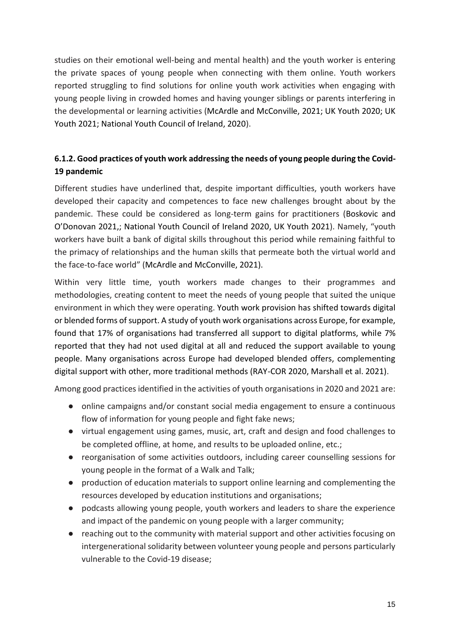studies on their emotional well-being and mental health) and the youth worker is entering the private spaces of young people when connecting with them online. Youth workers reported struggling to find solutions for online youth work activities when engaging with young people living in crowded homes and having younger siblings or parents interfering in the developmental or learning activities (McArdle and McConville, 2021; UK Youth 2020; UK Youth 2021; National Youth Council of Ireland, 2020).

#### <span id="page-15-0"></span>**6.1.2. Good practices of youth work addressing the needs of young people during the Covid-19 pandemic**

Different studies have underlined that, despite important difficulties, youth workers have developed their capacity and competences to face new challenges brought about by the pandemic. These could be considered as long-term gains for practitioners (Boskovic and O'Donovan 2021,; National Youth Council of Ireland 2020, UK Youth 2021). Namely, "youth workers have built a bank of digital skills throughout this period while remaining faithful to the primacy of relationships and the human skills that permeate both the virtual world and the face-to-face world" (McArdle and McConville, 2021).

Within very little time, youth workers made changes to their programmes and methodologies, creating content to meet the needs of young people that suited the unique environment in which they were operating. Youth work provision has shifted towards digital or blended forms of support. A study of youth work organisations across Europe, for example, found that 17% of organisations had transferred all support to digital platforms, while 7% reported that they had not used digital at all and reduced the support available to young people. Many organisations across Europe had developed blended offers, complementing digital support with other, more traditional methods (RAY-COR 2020, Marshall et al. 2021).

Among good practices identified in the activities of youth organisations in 2020 and 2021 are:

- online campaigns and/or constant social media engagement to ensure a continuous flow of information for young people and fight fake news;
- virtual engagement using games, music, art, craft and design and food challenges to be completed offline, at home, and results to be uploaded online, etc.;
- reorganisation of some activities outdoors, including career counselling sessions for young people in the format of a Walk and Talk;
- production of education materials to support online learning and complementing the resources developed by education institutions and organisations;
- podcasts allowing young people, youth workers and leaders to share the experience and impact of the pandemic on young people with a larger community;
- reaching out to the community with material support and other activities focusing on intergenerational solidarity between volunteer young people and persons particularly vulnerable to the Covid-19 disease;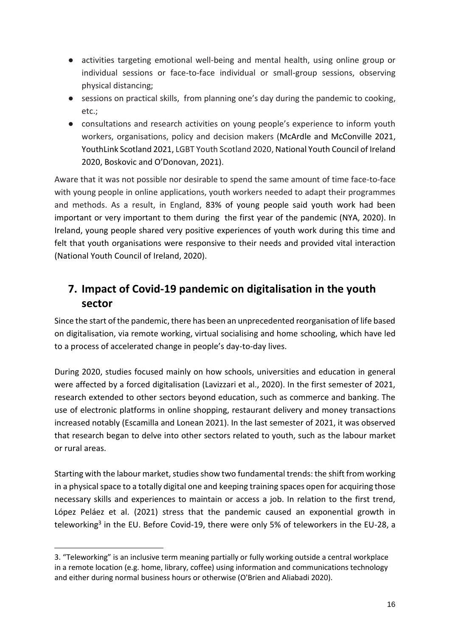- activities targeting emotional well-being and mental health, using online group or individual sessions or face-to-face individual or small-group sessions, observing physical distancing;
- sessions on practical skills, from planning one's day during the pandemic to cooking, etc.;
- consultations and research activities on young people's experience to inform youth workers, organisations, policy and decision makers (McArdle and McConville 2021, YouthLink Scotland 2021, LGBT Youth Scotland 2020, National Youth Council of Ireland 2020, Boskovic and O'Donovan, 2021).

Aware that it was not possible nor desirable to spend the same amount of time face-to-face with young people in online applications, youth workers needed to adapt their programmes and methods. As a result, in England, 83% of young people said youth work had been important or very important to them during the first year of the pandemic (NYA, 2020). In Ireland, young people shared very positive experiences of youth work during this time and felt that youth organisations were responsive to their needs and provided vital interaction (National Youth Council of Ireland, 2020).

## <span id="page-16-0"></span>**7. Impact of Covid-19 pandemic on digitalisation in the youth sector**

Since the start of the pandemic, there has been an unprecedented reorganisation of life based on digitalisation, via remote working, virtual socialising and home schooling, which have led to a process of accelerated change in people's day-to-day lives.

During 2020, studies focused mainly on how schools, universities and education in general were affected by a forced digitalisation (Lavizzari et al., 2020). In the first semester of 2021, research extended to other sectors beyond education, such as commerce and banking. The use of electronic platforms in online shopping, restaurant delivery and money transactions increased notably (Escamilla and Lonean 2021). In the last semester of 2021, it was observed that research began to delve into other sectors related to youth, such as the labour market or rural areas.

Starting with the labour market, studies show two fundamental trends: the shift from working in a physical space to a totally digital one and keeping training spaces open for acquiring those necessary skills and experiences to maintain or access a job. In relation to the first trend, López Peláez et al. (2021) stress that the pandemic caused an exponential growth in teleworking<sup>3</sup> in the EU. Before Covid-19, there were only 5% of teleworkers in the EU-28, a

<sup>3.</sup> "Teleworking" is an inclusive term meaning partially or fully working outside a central workplace in a remote location (e.g. home, library, coffee) using information and communications technology and either during normal business hours or otherwise (O'Brien and Aliabadi 2020).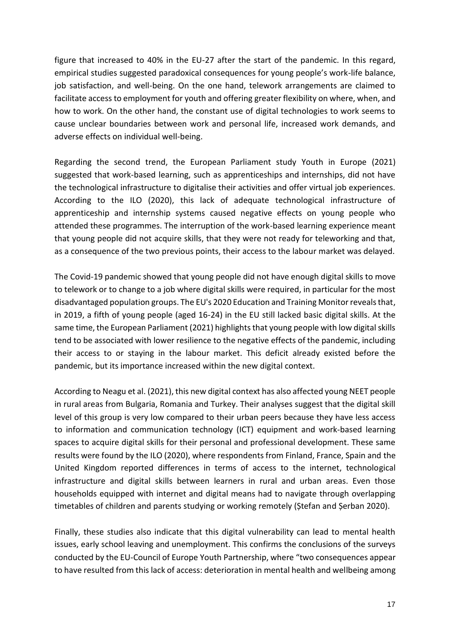figure that increased to 40% in the EU-27 after the start of the pandemic. In this regard, empirical studies suggested paradoxical consequences for young people's work-life balance, job satisfaction, and well-being. On the one hand, telework arrangements are claimed to facilitate access to employment for youth and offering greater flexibility on where, when, and how to work. On the other hand, the constant use of digital technologies to work seems to cause unclear boundaries between work and personal life, increased work demands, and adverse effects on individual well-being.

Regarding the second trend, the European Parliament study Youth in Europe (2021) suggested that work-based learning, such as apprenticeships and internships, did not have the technological infrastructure to digitalise their activities and offer virtual job experiences. According to the ILO (2020), this lack of adequate technological infrastructure of apprenticeship and internship systems caused negative effects on young people who attended these programmes. The interruption of the work-based learning experience meant that young people did not acquire skills, that they were not ready for teleworking and that, as a consequence of the two previous points, their access to the labour market was delayed.

The Covid-19 pandemic showed that young people did not have enough digital skills to move to telework or to change to a job where digital skills were required, in particular for the most disadvantaged population groups. The EU's 2020 Education and Training Monitor reveals that, in 2019, a fifth of young people (aged 16-24) in the EU still lacked basic digital skills. At the same time, the European Parliament (2021) highlights that young people with low digital skills tend to be associated with lower resilience to the negative effects of the pandemic, including their access to or staying in the labour market. This deficit already existed before the pandemic, but its importance increased within the new digital context.

According to Neagu et al. (2021), this new digital context has also affected young NEET people in rural areas from Bulgaria, Romania and Turkey. Their analyses suggest that the digital skill level of this group is very low compared to their urban peers because they have less access to information and communication technology (ICT) equipment and work-based learning spaces to acquire digital skills for their personal and professional development. These same results were found by the ILO (2020), where respondents from Finland, France, Spain and the United Kingdom reported differences in terms of access to the internet, technological infrastructure and digital skills between learners in rural and urban areas. Even those households equipped with internet and digital means had to navigate through overlapping timetables of children and parents studying or working remotely (Ștefan and Șerban 2020).

Finally, these studies also indicate that this digital vulnerability can lead to mental health issues, early school leaving and unemployment. This confirms the conclusions of the surveys conducted by the EU-Council of Europe Youth Partnership, where "two consequences appear to have resulted from this lack of access: deterioration in mental health and wellbeing among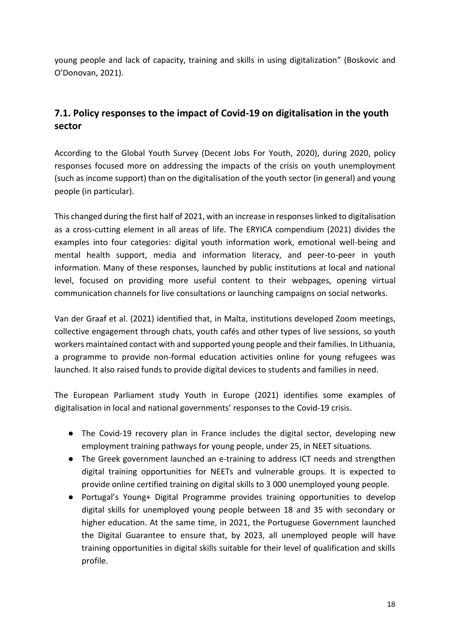young people and lack of capacity, training and skills in using digitalization" (Boskovic and O'Donovan, 2021).

### <span id="page-18-0"></span>**7.1. Policy responses to the impact of Covid-19 on digitalisation in the youth sector**

According to the Global Youth Survey (Decent Jobs For Youth, 2020), during 2020, policy responses focused more on addressing the impacts of the crisis on youth unemployment (such as income support) than on the digitalisation of the youth sector (in general) and young people (in particular).

This changed during the first half of 2021, with an increase in responses linked to digitalisation as a cross-cutting element in all areas of life. The ERYICA compendium (2021) divides the examples into four categories: digital youth information work, emotional well-being and mental health support, media and information literacy, and peer-to-peer in youth information. Many of these responses, launched by public institutions at local and national level, focused on providing more useful content to their webpages, opening virtual communication channels for live consultations or launching campaigns on social networks.

Van der Graaf et al. (2021) identified that, in Malta, institutions developed Zoom meetings, collective engagement through chats, youth cafés and other types of live sessions, so youth workers maintained contact with and supported young people and their families. In Lithuania, a programme to provide non-formal education activities online for young refugees was launched. It also raised funds to provide digital devices to students and families in need.

The European Parliament study Youth in Europe (2021) identifies some examples of digitalisation in local and national governments' responses to the Covid-19 crisis.

- The Covid-19 recovery plan in France includes the digital sector, developing new employment training pathways for young people, under 25, in NEET situations.
- The Greek government launched an e-training to address ICT needs and strengthen digital training opportunities for NEETs and vulnerable groups. It is expected to provide online certified training on digital skills to 3 000 unemployed young people.
- Portugal's Young+ Digital Programme provides training opportunities to develop digital skills for unemployed young people between 18 and 35 with secondary or higher education. At the same time, in 2021, the Portuguese Government launched the Digital Guarantee to ensure that, by 2023, all unemployed people will have training opportunities in digital skills suitable for their level of qualification and skills profile.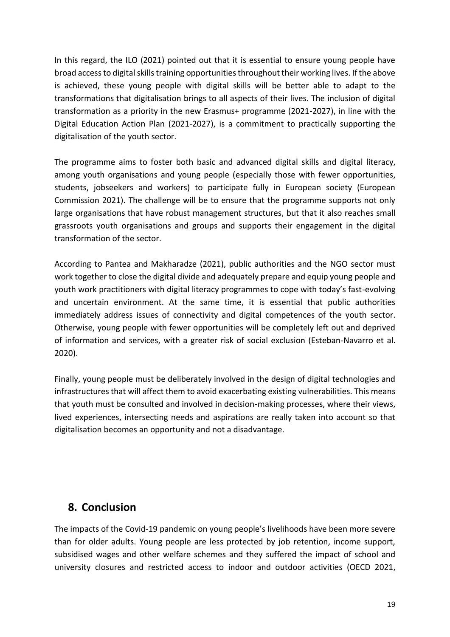In this regard, the ILO (2021) pointed out that it is essential to ensure young people have broad access to digital skills training opportunities throughout their working lives. If the above is achieved, these young people with digital skills will be better able to adapt to the transformations that digitalisation brings to all aspects of their lives. The inclusion of digital transformation as a priority in the new Erasmus+ programme (2021-2027), in line with the Digital Education Action Plan (2021-2027), is a commitment to practically supporting the digitalisation of the youth sector.

The programme aims to foster both basic and advanced digital skills and digital literacy, among youth organisations and young people (especially those with fewer opportunities, students, jobseekers and workers) to participate fully in European society (European Commission 2021). The challenge will be to ensure that the programme supports not only large organisations that have robust management structures, but that it also reaches small grassroots youth organisations and groups and supports their engagement in the digital transformation of the sector.

According to Pantea and Makharadze (2021), public authorities and the NGO sector must work together to close the digital divide and adequately prepare and equip young people and youth work practitioners with digital literacy programmes to cope with today's fast-evolving and uncertain environment. At the same time, it is essential that public authorities immediately address issues of connectivity and digital competences of the youth sector. Otherwise, young people with fewer opportunities will be completely left out and deprived of information and services, with a greater risk of social exclusion (Esteban-Navarro et al. 2020).

Finally, young people must be deliberately involved in the design of digital technologies and infrastructures that will affect them to avoid exacerbating existing vulnerabilities. This means that youth must be consulted and involved in decision-making processes, where their views, lived experiences, intersecting needs and aspirations are really taken into account so that digitalisation becomes an opportunity and not a disadvantage.

### <span id="page-19-0"></span>**8. Conclusion**

The impacts of the Covid-19 pandemic on young people's livelihoods have been more severe than for older adults. Young people are less protected by job retention, income support, subsidised wages and other welfare schemes and they suffered the impact of school and university closures and restricted access to indoor and outdoor activities (OECD 2021,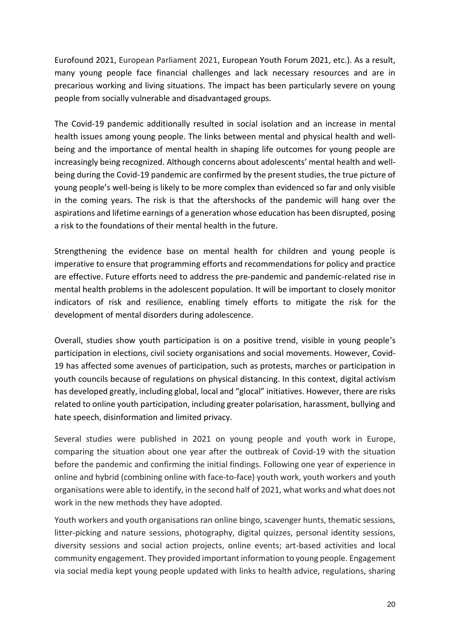Eurofound 2021, European Parliament 2021, European Youth Forum 2021, etc.). As a result, many young people face financial challenges and lack necessary resources and are in precarious working and living situations. The impact has been particularly severe on young people from socially vulnerable and disadvantaged groups.

The Covid-19 pandemic additionally resulted in social isolation and an increase in mental health issues among young people. The links between mental and physical health and wellbeing and the importance of mental health in shaping life outcomes for young people are increasingly being recognized. Although concerns about adolescents' mental health and wellbeing during the Covid-19 pandemic are confirmed by the present studies, the true picture of young people's well-being is likely to be more complex than evidenced so far and only visible in the coming years. The risk is that the aftershocks of the pandemic will hang over the aspirations and lifetime earnings of a generation whose education has been disrupted, posing a risk to the foundations of their mental health in the future.

Strengthening the evidence base on mental health for children and young people is imperative to ensure that programming efforts and recommendations for policy and practice are effective. Future efforts need to address the pre-pandemic and pandemic-related rise in mental health problems in the adolescent population. It will be important to closely monitor indicators of risk and resilience, enabling timely efforts to mitigate the risk for the development of mental disorders during adolescence.

Overall, studies show youth participation is on a positive trend, visible in young people's participation in elections, civil society organisations and social movements. However, Covid-19 has affected some avenues of participation, such as protests, marches or participation in youth councils because of regulations on physical distancing. In this context, digital activism has developed greatly, including global, local and "glocal" initiatives. However, there are risks related to online youth participation, including greater polarisation, harassment, bullying and hate speech, disinformation and limited privacy.

Several studies were published in 2021 on young people and youth work in Europe, comparing the situation about one year after the outbreak of Covid-19 with the situation before the pandemic and confirming the initial findings. Following one year of experience in online and hybrid (combining online with face-to-face) youth work, youth workers and youth organisations were able to identify, in the second half of 2021, what works and what does not work in the new methods they have adopted.

Youth workers and youth organisations ran online bingo, scavenger hunts, thematic sessions, litter-picking and nature sessions, photography, digital quizzes, personal identity sessions, diversity sessions and social action projects, online events; art-based activities and local community engagement. They provided important information to young people. Engagement via social media kept young people updated with links to health advice, regulations, sharing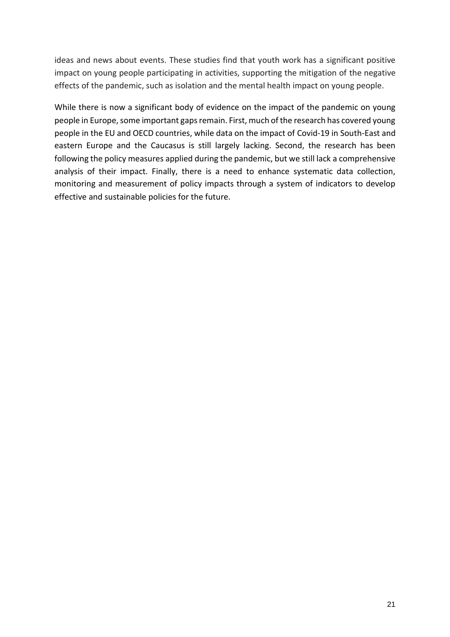ideas and news about events. These studies find that youth work has a significant positive impact on young people participating in activities, supporting the mitigation of the negative effects of the pandemic, such as isolation and the mental health impact on young people.

While there is now a significant body of evidence on the impact of the pandemic on young people in Europe, some important gaps remain. First, much of the research has covered young people in the EU and OECD countries, while data on the impact of Covid-19 in South-East and eastern Europe and the Caucasus is still largely lacking. Second, the research has been following the policy measures applied during the pandemic, but we still lack a comprehensive analysis of their impact. Finally, there is a need to enhance systematic data collection, monitoring and measurement of policy impacts through a system of indicators to develop effective and sustainable policies for the future.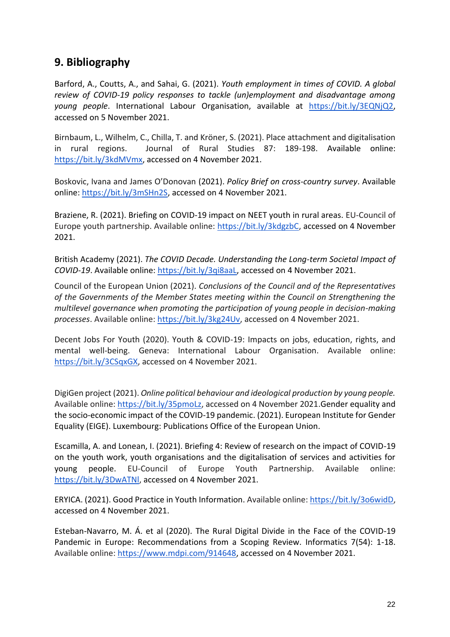### <span id="page-22-0"></span>**9. Bibliography**

Barford, A., Coutts, A., and Sahai, G. (2021). *Youth employment in times of COVID. A global review of COVID-19 policy responses to tackle (un)employment and disadvantage among young people*. International Labour Organisation, available at [https://bit.ly/3EQNjQ2,](https://bit.ly/3EQNjQ2) accessed on 5 November 2021.

Birnbaum, L., Wilhelm, C., Chilla, T. and Kröner, S. (2021). Place attachment and digitalisation in rural regions. Journal of Rural Studies 87: 189-198. Available online: [https://bit.ly/3kdMVmx,](https://bit.ly/3kdMVmx) accessed on 4 November 2021.

Boskovic, Ivana and James O'Donovan (2021). *Policy Brief on cross-country survey*. Available online: [https://bit.ly/3mSHn2S,](https://bit.ly/3mSHn2S) accessed on 4 November 2021.

Braziene, R. (2021). Briefing on COVID-19 impact on NEET youth in rural areas. EU-Council of Europe youth partnership. Available online: [https://bit.ly/3kdgzbC,](https://bit.ly/3kdgzbC) accessed on 4 November 2021.

British Academy (2021). *The COVID Decade. Understanding the Long-term Societal Impact of COVID-19*. Available online: [https://bit.ly/3qi8aaL,](https://bit.ly/3qi8aaL) accessed on 4 November 2021.

Council of the European Union (2021). *Conclusions of the Council and of the Representatives of the Governments of the Member States meeting within the Council on Strengthening the multilevel governance when promoting the participation of young people in decision-making processes*. Available online: [https://bit.ly/3kg24Uv,](https://bit.ly/3kg24Uv) accessed on 4 November 2021.

Decent Jobs For Youth (2020). Youth & COVID-19: Impacts on jobs, education, rights, and mental well-being. Geneva: International Labour Organisation. Available online: [https://bit.ly/3CSqxGX,](https://bit.ly/3CSqxGX) accessed on 4 November 2021.

DigiGen project (2021). *Online political behaviour and ideological production by young people.* Available online: [https://bit.ly/35pmoLz,](https://bit.ly/35pmoLz) accessed on 4 November 2021.Gender equality and the socio-economic impact of the COVID-19 pandemic. (2021). European Institute for Gender Equality (EIGE). Luxembourg: Publications Office of the European Union.

Escamilla, A. and Lonean, I. (2021). Briefing 4: Review of research on the impact of COVID-19 on the youth work, youth organisations and the digitalisation of services and activities for young people. EU-Council of Europe Youth Partnership. Available online: [https://bit.ly/3DwATNl,](https://bit.ly/3DwATNl) accessed on 4 November 2021.

ERYICA. (2021). Good Practice in Youth Information. Available online[: https://bit.ly/3o6widD,](https://bit.ly/3o6widD) accessed on 4 November 2021.

Esteban-Navarro, M. Á. et al (2020). The Rural Digital Divide in the Face of the COVID-19 Pandemic in Europe: Recommendations from a Scoping Review. Informatics 7(54): 1-18. Available online: [https://www.mdpi.com/914648,](https://www.mdpi.com/914648) accessed on 4 November 2021.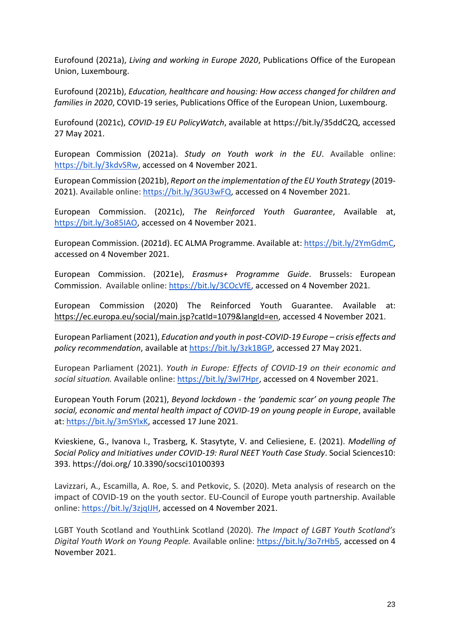Eurofound (2021a), *Living and working in Europe 2020*, Publications Office of the European Union, Luxembourg.

Eurofound (2021b), *Education, healthcare and housing: How access changed for children and families in 2020*, COVID-19 series, Publications Office of the European Union, Luxembourg.

Eurofound (2021c), *COVID-19 EU PolicyWatch*, available at https://bit.ly/35ddC2Q, accessed 27 May 2021.

European Commission (2021a). *Study on Youth work in the EU*. Available online: [https://bit.ly/3kdvSRw,](https://bit.ly/3kdvSRw) accessed on 4 November 2021.

European Commission (2021b), *Report on the implementation of the EU Youth Strategy* (2019 2021). Available online: [https://bit.ly/3GU3wFQ,](https://bit.ly/3GU3wFQ) accessed on 4 November 2021.

European Commission. (2021c), *The Reinforced Youth Guarantee*, Available at, [https://bit.ly/3o85IAO,](https://bit.ly/3o85IAO) accessed on 4 November 2021.

European Commission. (2021d). EC ALMA Programme. Available at: [https://bit.ly/2YmGdmC,](https://bit.ly/2YmGdmC) accessed on 4 November 2021.

European Commission. (2021e), *Erasmus+ Programme Guide*. Brussels: European Commission. Available online: [https://bit.ly/3COcVfE,](https://bit.ly/3COcVfE) accessed on 4 November 2021.

European Commission (2020) The Reinforced Youth Guarantee. Available at: [h](https://ec.europa.eu/social/main.jsp?catId=1079&langId=en)[ttps://ec.europa.eu/social/main.jsp?catId=1079&langId=en,](https://ec.europa.eu/social/main.jsp?catId=1079&langId=en) accessed 4 November 2021.

European Parliament (2021), *Education and youth in post-COVID-19 Europe – crisis effects and policy recommendation*, available at [https://bit.ly/3zk1BGP,](https://bit.ly/3zk1BGP) accessed 27 May 2021.

European Parliament (2021). *Youth in Europe: Effects of COVID-19 on their economic and social situation.* Available online: [https://bit.ly/3wl7Hpr,](https://bit.ly/3wl7Hpr) accessed on 4 November 2021.

European Youth Forum (2021), *Beyond lockdown - the 'pandemic scar' on young people The social, economic and mental health impact of COVID-19 on young people in Europe*, available at[: https://bit.ly/3mSYlxK,](https://bit.ly/3mSYlxK) accessed 17 June 2021.

Kvieskiene, G., Ivanova I., Trasberg, K. Stasytyte, V. and Celiesiene, E. (2021). *Modelling of Social Policy and Initiatives under COVID-19: Rural NEET Youth Case Study*. Social Sciences10: 393. https://doi.org/ 10.3390/socsci10100393

Lavizzari, A., Escamilla, A. Roe, S. and Petkovic, S. (2020). Meta analysis of research on the impact of COVID-19 on the youth sector. EU-Council of Europe youth partnership. Available online: [https://bit.ly/3zjqIJH,](https://bit.ly/3zjqIJH) accessed on 4 November 2021.

LGBT Youth Scotland and YouthLink Scotland (2020). *The Impact of LGBT Youth Scotland's Digital Youth Work on Young People.* Available online: [https://bit.ly/3o7rHb5,](https://bit.ly/3o7rHb5) accessed on 4 November 2021.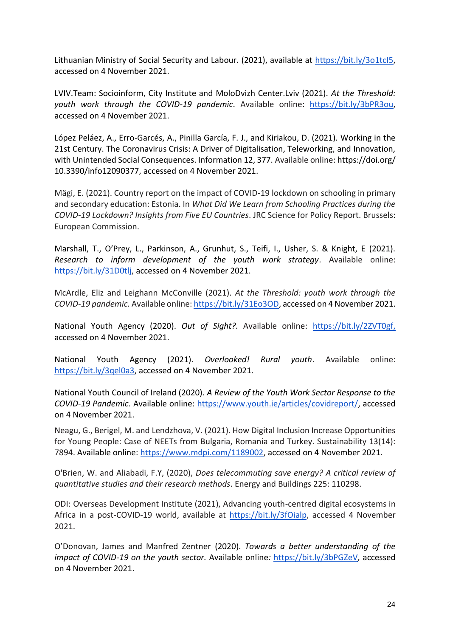Lithuanian Ministry of Social Security and Labour. (2021), available at [https://bit.ly/3o1tcI5,](https://bit.ly/3o1tcI5) accessed on 4 November 2021.

LVIV.Team: Socioinform, City Institute and MoloDvizh Center.Lviv (2021). *At the Threshold: youth work through the COVID-19 pandemic*. Available online: [https://bit.ly/3bPR3ou,](https://bit.ly/3bPR3ou) accessed on 4 November 2021.

López Peláez, A., Erro-Garcés, A., Pinilla García, F. J., and Kiriakou, D. (2021). Working in the 21st Century. The Coronavirus Crisis: A Driver of Digitalisation, Teleworking, and Innovation, with Unintended Social Consequences. Information 12, 377. Available online: https://doi.org/ 10.3390/info12090377, accessed on 4 November 2021.

Mägi, E. (2021). Country report on the impact of COVID-19 lockdown on schooling in primary and secondary education: Estonia. In *What Did We Learn from Schooling Practices during the COVID-19 Lockdown? Insights from Five EU Countries*. JRC Science for Policy Report. Brussels: European Commission.

Marshall, T., O'Prey, L., Parkinson, A., Grunhut, S., Teifi, I., Usher, S. & Knight, E (2021). *Research to inform development of the youth work strategy*. Available online: [https://bit.ly/31D0tlj,](https://bit.ly/31D0tlj) accessed on 4 November 2021.

McArdle, Eliz and Leighann McConville (2021). *At the Threshold: youth work through the COVID-19 pandemic.* Available online[: https://bit.ly/31Eo3OD,](https://bit.ly/31Eo3OD) accessed on 4 November 2021.

National Youth Agency (2020). *Out of Sight?*. Available online: [https://bit.ly/2ZVT0gf,](https://bit.ly/2ZVT0gf) accessed on 4 November 2021.

National Youth Agency (2021). *Overlooked! Rural youth*. Available online: [https://bit.ly/3qel0a3,](https://bit.ly/3qel0a3) accessed on 4 November 2021.

National Youth Council of Ireland (2020). *A Review of the Youth Work Sector Response to the COVID-19 Pandemic*. Available online: [https://www.youth.ie/articles/covidreport/,](https://www.youth.ie/articles/covidreport/) accessed on 4 November 2021.

Neagu, G., Berigel, M. and Lendzhova, V. (2021). How Digital Inclusion Increase Opportunities for Young People: Case of NEETs from Bulgaria, Romania and Turkey. Sustainability 13(14): 7894. Available online: [https://www.mdpi.com/1189002,](https://www.mdpi.com/1189002) accessed on 4 November 2021.

O'Brien, W. and Aliabadi, F.Y, (2020), *Does telecommuting save energy? A critical review of quantitative studies and their research methods*. Energy and Buildings 225: 110298.

ODI: Overseas Development Institute (2021), Advancing youth-centred digital ecosystems in Africa in a post-COVID-19 world, available at [https://bit.ly/3fOialp,](https://bit.ly/3fOialp) accessed 4 November 2021.

O'Donovan, James and Manfred Zentner (2020). *Towards a better understanding of the impact of COVID-19 on the youth sector.* Available online*:* <https://bit.ly/3bPGZeV>*,* accessed on 4 November 2021.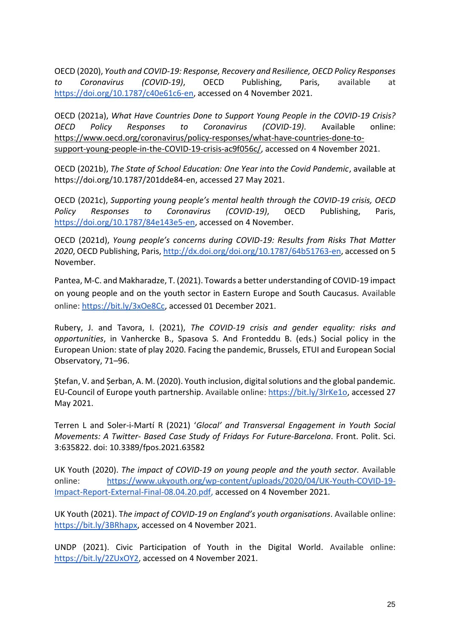OECD (2020), *Youth and COVID-19: Response, Recovery and Resilience, OECD Policy Responses to Coronavirus (COVID-19)*, OECD Publishing, Paris, available at [https://doi.org/10.1787/c40e61c6-en,](https://doi.org/10.1787/c40e61c6-en) accessed on 4 November 2021.

OECD (2021a), *What Have Countries Done to Support Young People in the COVID-19 Crisis? OECD Policy Responses to Coronavirus (COVID-19)*. Available online: [https://www.oecd.org/coronavirus/policy-responses/what-have-countries-done-to](https://www.oecd.org/coronavirus/policy-responses/what-have-countries-done-to-support-young-people-in-the-COVID-19-crisis-ac9f056c/)[support-young-people-in-the-COVID-19-crisis-ac9f056c/,](https://www.oecd.org/coronavirus/policy-responses/what-have-countries-done-to-support-young-people-in-the-COVID-19-crisis-ac9f056c/) accessed on 4 November 2021.

OECD (2021b), *The State of School Education: One Year into the Covid Pandemic*, available at https://doi.org/10.1787/201dde84-en, accessed 27 May 2021.

OECD (2021c), *Supporting young people's mental health through the COVID-19 crisis, OECD Policy Responses to Coronavirus (COVID-19)*, OECD Publishing, Paris, [https://doi.org/10.1787/84e143e5-en,](https://doi.org/10.1787/84e143e5-en) accessed on 4 November.

OECD (2021d), *Young people's concerns during COVID-19: Results from Risks That Matter 2020*, OECD Publishing, Paris, [http://dx.doi.org/doi.org/10.1787/64b51763-en,](http://dx.doi.org/doi.org/10.1787/64b51763-en) accessed on 5 November.

Pantea, M-C. and Makharadze, T. (2021). Towards a better understanding of COVID-19 impact on young people and on the youth sector in Eastern Europe and South Caucasus. Available online: [https://bit.ly/3xOe8Cc,](https://bit.ly/3xOe8Cc) accessed 01 December 2021.

Rubery, J. and Tavora, I. (2021), *The COVID-19 crisis and gender equality: risks and opportunities*, in Vanhercke B., Spasova S. And Fronteddu B. (eds.) Social policy in the European Union: state of play 2020. Facing the pandemic, Brussels, ETUI and European Social Observatory, 71–96.

Ștefan, V. and Șerban, A. M. (2020). Youth inclusion, digital solutions and the global pandemic. EU-Council of Europe youth partnership. Available online: [https://bit.ly/3lrKe1o,](https://bit.ly/3lrKe1o) accessed 27 May 2021.

Terren L and Soler-i-Martí R (2021) '*Glocal' and Transversal Engagement in Youth Social Movements: A Twitter- Based Case Study of Fridays For Future-Barcelona*. Front. Polit. Sci. 3:635822. doi: 10.3389/fpos.2021.63582

UK Youth (2020). *The impact of COVID-19 on young people and the youth sector.* Available online: [https://www.ukyouth.org/wp-content/uploads/2020/04/UK-Youth-COVID-19-](https://www.ukyouth.org/wp-content/uploads/2020/04/UK-Youth-Covid-19-Impact-Report-External-Final-08.04.20.pdf) [Impact-Report-External-Final-08.04.20.pdf,](https://www.ukyouth.org/wp-content/uploads/2020/04/UK-Youth-Covid-19-Impact-Report-External-Final-08.04.20.pdf) accessed on 4 November 2021.

UK Youth (2021). T*he impact of COVID-19 on England's youth organisations*. Available online: [https://bit.ly/3BRhapx,](https://bit.ly/3BRhapx) accessed on 4 November 2021.

UNDP (2021). Civic Participation of Youth in the Digital World. Available online: [https://bit.ly/2ZUxOY2,](https://bit.ly/2ZUxOY2) accessed on 4 November 2021.